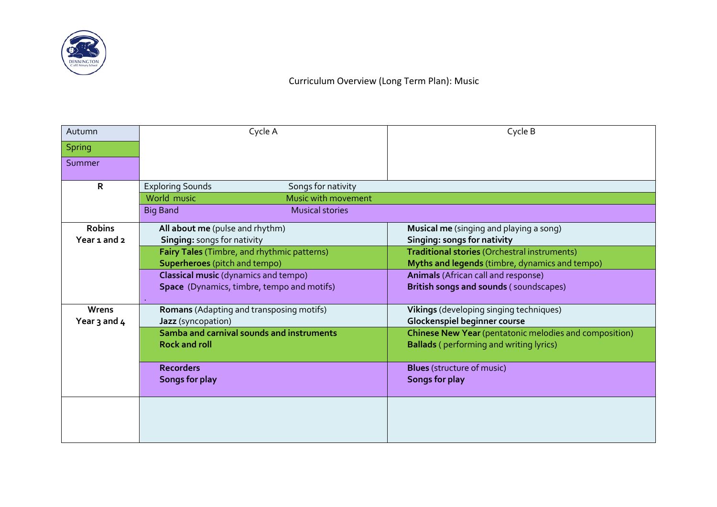

## Curriculum Overview (Long Term Plan): Music

| Autumn        | Cycle A                                       | Cycle B                                                |
|---------------|-----------------------------------------------|--------------------------------------------------------|
| <b>Spring</b> |                                               |                                                        |
| Summer        |                                               |                                                        |
| R             | Songs for nativity<br><b>Exploring Sounds</b> |                                                        |
|               | Music with movement<br>World music            |                                                        |
|               | <b>Big Band</b><br><b>Musical stories</b>     |                                                        |
| <b>Robins</b> | All about me (pulse and rhythm)               | <b>Musical me</b> (singing and playing a song)         |
| Year 1 and 2  | Singing: songs for nativity                   | Singing: songs for nativity                            |
|               | Fairy Tales (Timbre, and rhythmic patterns)   | Traditional stories (Orchestral instruments)           |
|               | <b>Superheroes</b> (pitch and tempo)          | Myths and legends (timbre, dynamics and tempo)         |
|               | <b>Classical music</b> (dynamics and tempo)   | <b>Animals</b> (African call and response)             |
|               | Space (Dynamics, timbre, tempo and motifs)    | British songs and sounds (soundscapes)                 |
| Wrens         | Romans (Adapting and transposing motifs)      | Vikings (developing singing techniques)                |
| Year 3 and 4  | Jazz (syncopation)                            | Glockenspiel beginner course                           |
|               | Samba and carnival sounds and instruments     | Chinese New Year (pentatonic melodies and composition) |
|               | <b>Rock and roll</b>                          | <b>Ballads</b> (performing and writing lyrics)         |
|               | <b>Recorders</b>                              | <b>Blues</b> (structure of music)                      |
|               | Songs for play                                | <b>Songs for play</b>                                  |
|               |                                               |                                                        |
|               |                                               |                                                        |
|               |                                               |                                                        |
|               |                                               |                                                        |
|               |                                               |                                                        |